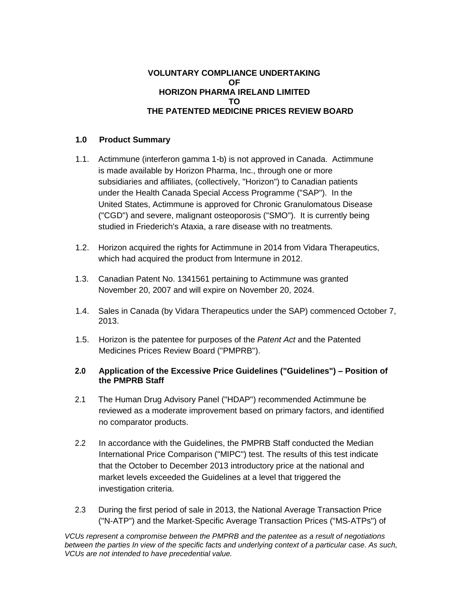#### **VOLUNTARY COMPLIANCE UNDERTAKING OF HORIZON PHARMA IRELAND LIMITED TO THE PATENTED MEDICINE PRICES REVIEW BOARD**

## **1.0 Product Summary**

- 1.1. Actimmune (interferon gamma 1-b) is not approved in Canada. Actimmune is made available by Horizon Pharma, Inc., through one or more subsidiaries and affiliates, (collectively, "Horizon") to Canadian patients under the Health Canada Special Access Programme ("SAP"). In the United States, Actimmune is approved for Chronic Granulomatous Disease ("CGD") and severe, malignant osteoporosis ("SMO"). It is currently being studied in Friederich's Ataxia, a rare disease with no treatments.
- 1.2. Horizon acquired the rights for Actimmune in 2014 from Vidara Therapeutics, which had acquired the product from lntermune in 2012.
- 1.3. Canadian Patent No. 1341561 pertaining to Actimmune was granted November 20, 2007 and will expire on November 20, 2024.
- 1.4. Sales in Canada (by Vidara Therapeutics under the SAP) commenced October 7, 2013.
- 1.5. Horizon is the patentee for purposes of the *Patent Act* and the Patented Medicines Prices Review Board ("PMPRB").

### **2.0 Application of the Excessive Price Guidelines ("Guidelines") – Position of the PMPRB Staff**

- 2.1 The Human Drug Advisory Panel ("HDAP") recommended Actimmune be reviewed as a moderate improvement based on primary factors, and identified no comparator products.
- 2.2 In accordance with the Guidelines, the PMPRB Staff conducted the Median International Price Comparison ("MIPC") test. The results of this test indicate that the October to December 2013 introductory price at the national and market levels exceeded the Guidelines at a level that triggered the investigation criteria.
- 2.3 During the first period of sale in 2013, the National Average Transaction Price ("N-ATP") and the Market-Specific Average Transaction Prices ("MS-ATPs") of

*VCUs represent a compromise between the PMPRB and the patentee as a result of negotiations*  between the parties In view of the specific facts and underlying context of a particular case. As such, *VCUs are not intended to have precedential value.*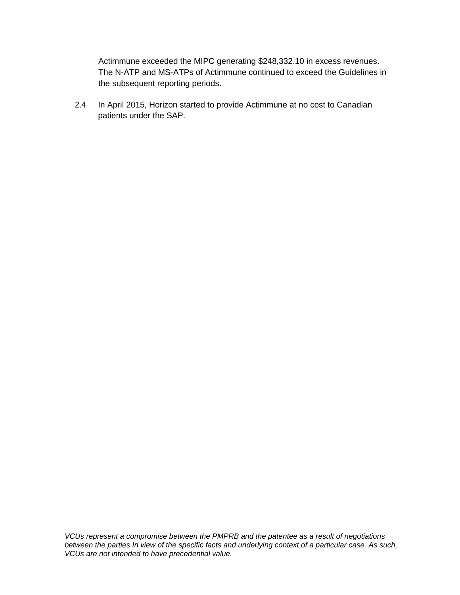Actimmune exceeded the MIPC generating \$248,332.10 in excess revenues. The N-ATP and MS-ATPs of Actimmune continued to exceed the Guidelines in the subsequent reporting periods.

2.4 In April 2015, Horizon started to provide Actimmune at no cost to Canadian patients under the SAP.

*VCUs represent a compromise between the PMPRB and the patentee as a result of negotiations between the parties In view of the specific facts and underlying context of a particular case. As such, VCUs are not intended to have precedential value.*